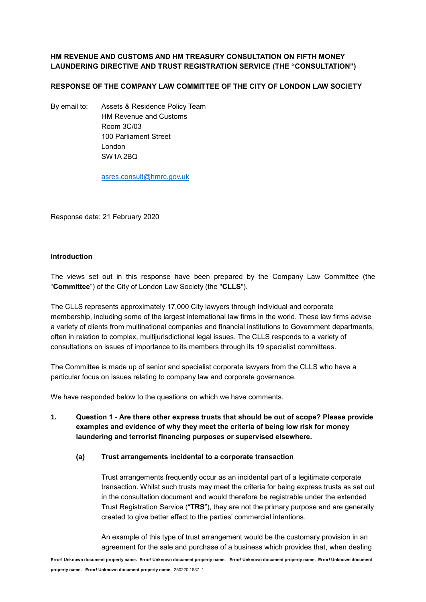## **HM REVENUE AND CUSTOMS AND HM TREASURY CONSULTATION ON FIFTH MONEY LAUNDERING DIRECTIVE AND TRUST REGISTRATION SERVICE (THE "CONSULTATION")**

## **RESPONSE OF THE COMPANY LAW COMMITTEE OF THE CITY OF LONDON LAW SOCIETY**

By email to: Assets & Residence Policy Team HM Revenue and Customs Room 3C/03 100 Parliament Street London SW1A 2BQ

[asres.consult@hmrc.gov.uk](mailto:asres.consult@hmrc.gov.uk)

Response date: 21 February 2020

## **Introduction**

The views set out in this response have been prepared by the Company Law Committee (the "**Committee**") of the City of London Law Society (the "**CLLS**").

The CLLS represents approximately 17,000 City lawyers through individual and corporate membership, including some of the largest international law firms in the world. These law firms advise a variety of clients from multinational companies and financial institutions to Government departments, often in relation to complex, multijurisdictional legal issues. The CLLS responds to a variety of consultations on issues of importance to its members through its 19 specialist committees.

The Committee is made up of senior and specialist corporate lawyers from the CLLS who have a particular focus on issues relating to company law and corporate governance.

We have responded below to the questions on which we have comments.

**1. Question 1 - Are there other express trusts that should be out of scope? Please provide examples and evidence of why they meet the criteria of being low risk for money laundering and terrorist financing purposes or supervised elsewhere.**

## **(a) Trust arrangements incidental to a corporate transaction**

Trust arrangements frequently occur as an incidental part of a legitimate corporate transaction. Whilst such trusts may meet the criteria for being express trusts as set out in the consultation document and would therefore be registrable under the extended Trust Registration Service ("**TRS**"), they are not the primary purpose and are generally created to give better effect to the parties' commercial intentions.

An example of this type of trust arrangement would be the customary provision in an agreement for the sale and purchase of a business which provides that, when dealing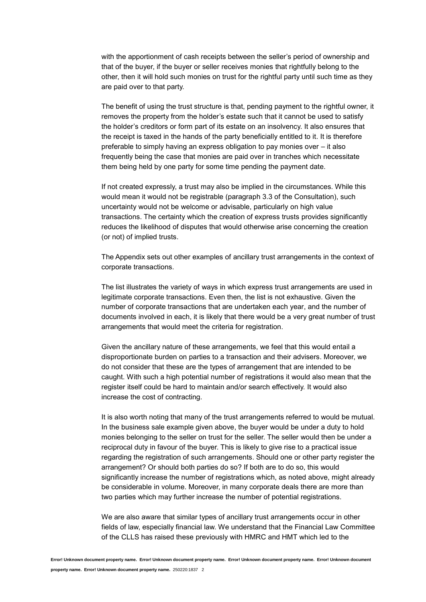with the apportionment of cash receipts between the seller's period of ownership and that of the buyer, if the buyer or seller receives monies that rightfully belong to the other, then it will hold such monies on trust for the rightful party until such time as they are paid over to that party.

The benefit of using the trust structure is that, pending payment to the rightful owner, it removes the property from the holder's estate such that it cannot be used to satisfy the holder's creditors or form part of its estate on an insolvency. It also ensures that the receipt is taxed in the hands of the party beneficially entitled to it. It is therefore preferable to simply having an express obligation to pay monies over – it also frequently being the case that monies are paid over in tranches which necessitate them being held by one party for some time pending the payment date.

If not created expressly, a trust may also be implied in the circumstances. While this would mean it would not be registrable (paragraph 3.3 of the Consultation), such uncertainty would not be welcome or advisable, particularly on high value transactions. The certainty which the creation of express trusts provides significantly reduces the likelihood of disputes that would otherwise arise concerning the creation (or not) of implied trusts.

The Appendix sets out other examples of ancillary trust arrangements in the context of corporate transactions.

The list illustrates the variety of ways in which express trust arrangements are used in legitimate corporate transactions. Even then, the list is not exhaustive. Given the number of corporate transactions that are undertaken each year, and the number of documents involved in each, it is likely that there would be a very great number of trust arrangements that would meet the criteria for registration.

Given the ancillary nature of these arrangements, we feel that this would entail a disproportionate burden on parties to a transaction and their advisers. Moreover, we do not consider that these are the types of arrangement that are intended to be caught. With such a high potential number of registrations it would also mean that the register itself could be hard to maintain and/or search effectively. It would also increase the cost of contracting.

It is also worth noting that many of the trust arrangements referred to would be mutual. In the business sale example given above, the buyer would be under a duty to hold monies belonging to the seller on trust for the seller. The seller would then be under a reciprocal duty in favour of the buyer. This is likely to give rise to a practical issue regarding the registration of such arrangements. Should one or other party register the arrangement? Or should both parties do so? If both are to do so, this would significantly increase the number of registrations which, as noted above, might already be considerable in volume. Moreover, in many corporate deals there are more than two parties which may further increase the number of potential registrations.

We are also aware that similar types of ancillary trust arrangements occur in other fields of law, especially financial law. We understand that the Financial Law Committee of the CLLS has raised these previously with HMRC and HMT which led to the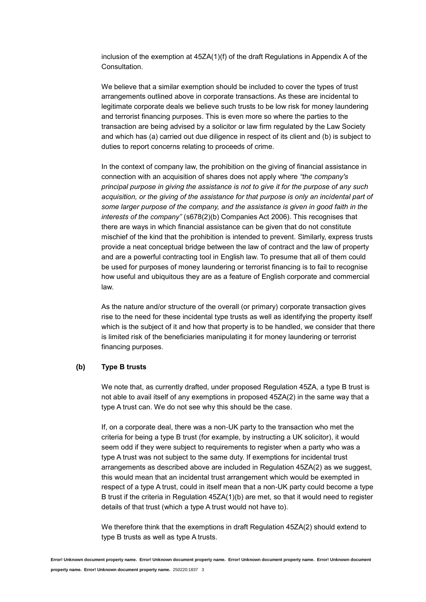inclusion of the exemption at 45ZA(1)(f) of the draft Regulations in Appendix A of the Consultation.

We believe that a similar exemption should be included to cover the types of trust arrangements outlined above in corporate transactions. As these are incidental to legitimate corporate deals we believe such trusts to be low risk for money laundering and terrorist financing purposes. This is even more so where the parties to the transaction are being advised by a solicitor or law firm regulated by the Law Society and which has (a) carried out due diligence in respect of its client and (b) is subject to duties to report concerns relating to proceeds of crime.

In the context of company law, the prohibition on the giving of financial assistance in connection with an acquisition of shares does not apply where *"the company's principal purpose in giving the assistance is not to give it for the purpose of any such acquisition, or the giving of the assistance for that purpose is only an incidental part of some larger purpose of the company, and the assistance is given in good faith in the interests of the company"* (s678(2)(b) Companies Act 2006). This recognises that there are ways in which financial assistance can be given that do not constitute mischief of the kind that the prohibition is intended to prevent. Similarly, express trusts provide a neat conceptual bridge between the law of contract and the law of property and are a powerful contracting tool in English law. To presume that all of them could be used for purposes of money laundering or terrorist financing is to fail to recognise how useful and ubiquitous they are as a feature of English corporate and commercial law.

As the nature and/or structure of the overall (or primary) corporate transaction gives rise to the need for these incidental type trusts as well as identifying the property itself which is the subject of it and how that property is to be handled, we consider that there is limited risk of the beneficiaries manipulating it for money laundering or terrorist financing purposes.

#### **(b) Type B trusts**

We note that, as currently drafted, under proposed Regulation 45ZA, a type B trust is not able to avail itself of any exemptions in proposed 45ZA(2) in the same way that a type A trust can. We do not see why this should be the case.

If, on a corporate deal, there was a non-UK party to the transaction who met the criteria for being a type B trust (for example, by instructing a UK solicitor), it would seem odd if they were subject to requirements to register when a party who was a type A trust was not subject to the same duty. If exemptions for incidental trust arrangements as described above are included in Regulation 45ZA(2) as we suggest, this would mean that an incidental trust arrangement which would be exempted in respect of a type A trust, could in itself mean that a non-UK party could become a type B trust if the criteria in Regulation 45ZA(1)(b) are met, so that it would need to register details of that trust (which a type A trust would not have to).

We therefore think that the exemptions in draft Regulation 45ZA(2) should extend to type B trusts as well as type A trusts.

**Error! Unknown document property name. Error! Unknown document property name. Error! Unknown document property name. Error! Unknown document**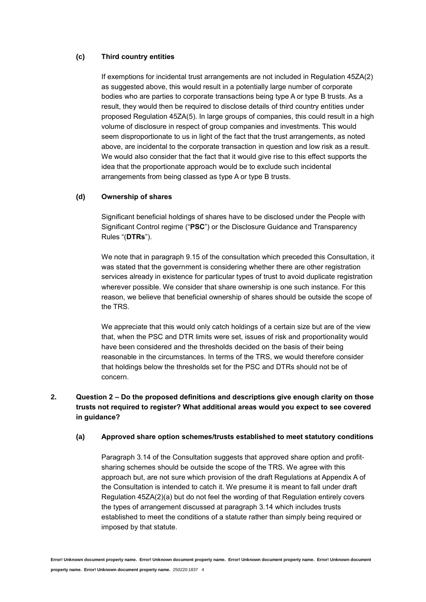## **(c) Third country entities**

If exemptions for incidental trust arrangements are not included in Regulation 45ZA(2) as suggested above, this would result in a potentially large number of corporate bodies who are parties to corporate transactions being type A or type B trusts. As a result, they would then be required to disclose details of third country entities under proposed Regulation 45ZA(5). In large groups of companies, this could result in a high volume of disclosure in respect of group companies and investments. This would seem disproportionate to us in light of the fact that the trust arrangements, as noted above, are incidental to the corporate transaction in question and low risk as a result. We would also consider that the fact that it would give rise to this effect supports the idea that the proportionate approach would be to exclude such incidental arrangements from being classed as type A or type B trusts.

### **(d) Ownership of shares**

Significant beneficial holdings of shares have to be disclosed under the People with Significant Control regime ("**PSC**") or the Disclosure Guidance and Transparency Rules "(**DTRs**").

We note that in paragraph 9.15 of the consultation which preceded this Consultation, it was stated that the government is considering whether there are other registration services already in existence for particular types of trust to avoid duplicate registration wherever possible. We consider that share ownership is one such instance. For this reason, we believe that beneficial ownership of shares should be outside the scope of the TRS.

We appreciate that this would only catch holdings of a certain size but are of the view that, when the PSC and DTR limits were set, issues of risk and proportionality would have been considered and the thresholds decided on the basis of their being reasonable in the circumstances. In terms of the TRS, we would therefore consider that holdings below the thresholds set for the PSC and DTRs should not be of concern.

# **2. Question 2 – Do the proposed definitions and descriptions give enough clarity on those trusts not required to register? What additional areas would you expect to see covered in guidance?**

### **(a) Approved share option schemes/trusts established to meet statutory conditions**

Paragraph 3.14 of the Consultation suggests that approved share option and profitsharing schemes should be outside the scope of the TRS. We agree with this approach but, are not sure which provision of the draft Regulations at Appendix A of the Consultation is intended to catch it. We presume it is meant to fall under draft Regulation 45ZA(2)(a) but do not feel the wording of that Regulation entirely covers the types of arrangement discussed at paragraph 3.14 which includes trusts established to meet the conditions of a statute rather than simply being required or imposed by that statute.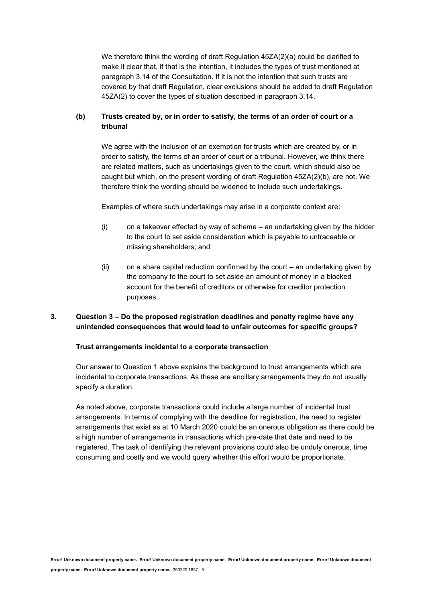We therefore think the wording of draft Regulation 45ZA(2)(a) could be clarified to make it clear that, if that is the intention, it includes the types of trust mentioned at paragraph 3.14 of the Consultation. If it is not the intention that such trusts are covered by that draft Regulation, clear exclusions should be added to draft Regulation 45ZA(2) to cover the types of situation described in paragraph 3.14.

## **(b) Trusts created by, or in order to satisfy, the terms of an order of court or a tribunal**

We agree with the inclusion of an exemption for trusts which are created by, or in order to satisfy, the terms of an order of court or a tribunal. However, we think there are related matters, such as undertakings given to the court, which should also be caught but which, on the present wording of draft Regulation 45ZA(2)(b), are not. We therefore think the wording should be widened to include such undertakings.

Examples of where such undertakings may arise in a corporate context are:

- $(i)$  on a takeover effected by way of scheme an undertaking given by the bidder to the court to set aside consideration which is payable to untraceable or missing shareholders; and
- (ii) on a share capital reduction confirmed by the court an undertaking given by the company to the court to set aside an amount of money in a blocked account for the benefit of creditors or otherwise for creditor protection purposes.

## **3. Question 3 – Do the proposed registration deadlines and penalty regime have any unintended consequences that would lead to unfair outcomes for specific groups?**

### **Trust arrangements incidental to a corporate transaction**

Our answer to Question 1 above explains the background to trust arrangements which are incidental to corporate transactions. As these are ancillary arrangements they do not usually specify a duration.

As noted above, corporate transactions could include a large number of incidental trust arrangements. In terms of complying with the deadline for registration, the need to register arrangements that exist as at 10 March 2020 could be an onerous obligation as there could be a high number of arrangements in transactions which pre-date that date and need to be registered. The task of identifying the relevant provisions could also be unduly onerous, time consuming and costly and we would query whether this effort would be proportionate.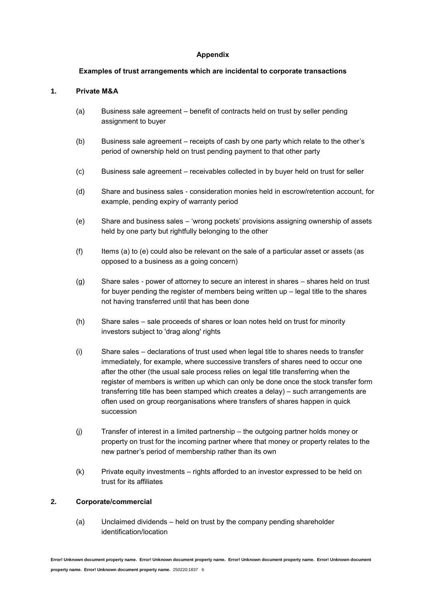## **Appendix**

## **Examples of trust arrangements which are incidental to corporate transactions**

# **1. Private M&A**

- (a) Business sale agreement benefit of contracts held on trust by seller pending assignment to buyer
- (b) Business sale agreement receipts of cash by one party which relate to the other's period of ownership held on trust pending payment to that other party
- (c) Business sale agreement receivables collected in by buyer held on trust for seller
- (d) Share and business sales consideration monies held in escrow/retention account, for example, pending expiry of warranty period
- (e) Share and business sales 'wrong pockets' provisions assigning ownership of assets held by one party but rightfully belonging to the other
- $(f)$  Items (a) to (e) could also be relevant on the sale of a particular asset or assets (as opposed to a business as a going concern)
- (g) Share sales power of attorney to secure an interest in shares shares held on trust for buyer pending the register of members being written up – legal title to the shares not having transferred until that has been done
- (h) Share sales sale proceeds of shares or loan notes held on trust for minority investors subject to 'drag along' rights
- (i) Share sales declarations of trust used when legal title to shares needs to transfer immediately, for example, where successive transfers of shares need to occur one after the other (the usual sale process relies on legal title transferring when the register of members is written up which can only be done once the stock transfer form transferring title has been stamped which creates a delay) – such arrangements are often used on group reorganisations where transfers of shares happen in quick succession
- (j) Transfer of interest in a limited partnership the outgoing partner holds money or property on trust for the incoming partner where that money or property relates to the new partner's period of membership rather than its own
- (k) Private equity investments rights afforded to an investor expressed to be held on trust for its affiliates

### **2. Corporate/commercial**

(a) Unclaimed dividends – held on trust by the company pending shareholder identification/location